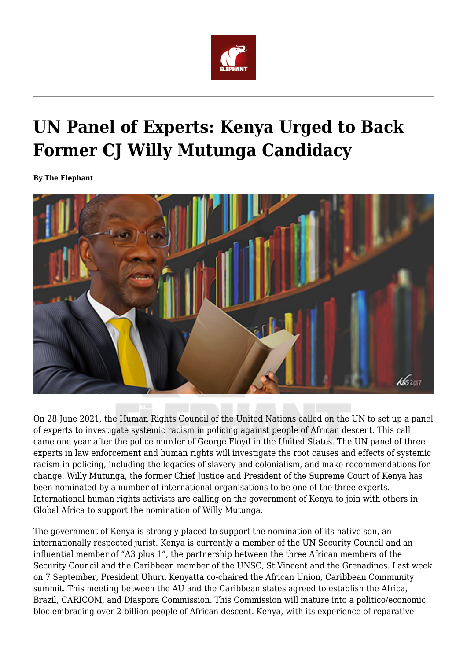

## **UN Panel of Experts: Kenya Urged to Back Former CJ Willy Mutunga Candidacy**

**By The Elephant**



On 28 June 2021, the Human Rights Council of the United Nations called on the UN to set up a panel of experts to investigate systemic racism in policing against people of African descent. This call came one year after the police murder of George Floyd in the United States. The UN panel of three experts in law enforcement and human rights will investigate the root causes and effects of systemic racism in policing, including the legacies of slavery and colonialism, and make recommendations for change. Willy Mutunga, the former Chief Justice and President of the Supreme Court of Kenya has been nominated by a number of international organisations to be one of the three experts. International human rights activists are calling on the government of Kenya to join with others in Global Africa to support the nomination of Willy Mutunga.

The government of Kenya is strongly placed to support the nomination of its native son, an internationally respected jurist. Kenya is currently a member of the UN Security Council and an influential member of "A3 plus 1", the partnership between the three African members of the Security Council and the Caribbean member of the UNSC, St Vincent and the Grenadines. Last week on 7 September, President Uhuru Kenyatta co-chaired the African Union, Caribbean Community summit. This meeting between the AU and the Caribbean states agreed to establish the Africa, Brazil, CARICOM, and Diaspora Commission. This Commission will mature into a politico/economic bloc embracing over 2 billion people of African descent. Kenya, with its experience of reparative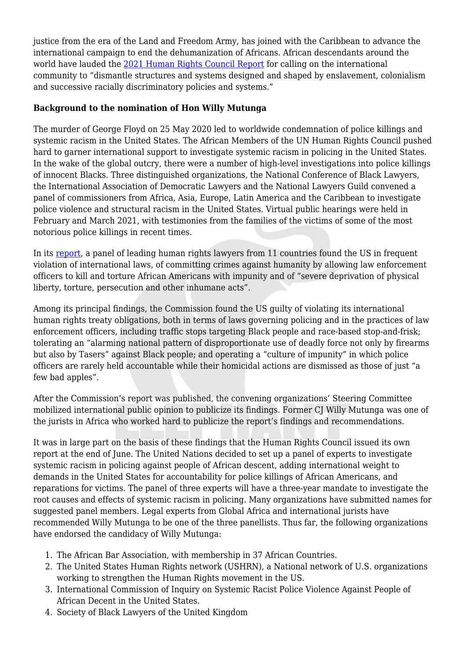justice from the era of the Land and Freedom Army, has joined with the Caribbean to advance the international campaign to end the dehumanization of Africans. African descendants around the world have lauded the [2021 Human Rights Council Report](https://undocs.org/en/A/HRC/47/53) for calling on the international community to "dismantle structures and systems designed and shaped by enslavement, colonialism and successive racially discriminatory policies and systems."

## **Background to the nomination of Hon Willy Mutunga**

The murder of George Floyd on 25 May 2020 led to worldwide condemnation of police killings and systemic racism in the United States. The African Members of the UN Human Rights Council pushed hard to garner international support to investigate systemic racism in policing in the United States. In the wake of the global outcry, there were a number of high-level investigations into police killings of innocent Blacks. Three distinguished organizations, the National Conference of Black Lawyers, the International Association of Democratic Lawyers and the National Lawyers Guild convened a panel of commissioners from Africa, Asia, Europe, Latin America and the Caribbean to investigate police violence and structural racism in the United States. Virtual public hearings were held in February and March 2021, with testimonies from the families of the victims of some of the most notorious police killings in recent times.

In its [report,](https://inquirycommission.org/website/wp-content/uploads/2021/04/Commission-Report-15-April.pdf) a panel of leading human rights lawyers from 11 countries found the US in frequent violation of international laws, of committing crimes against humanity by allowing law enforcement officers to kill and torture African Americans with impunity and of "severe deprivation of physical liberty, torture, persecution and other inhumane acts".

Among its principal findings, the Commission found the US guilty of violating its international human rights treaty obligations, both in terms of laws governing policing and in the practices of law enforcement officers, including traffic stops targeting Black people and race-based stop-and-frisk; tolerating an "alarming national pattern of disproportionate use of deadly force not only by firearms but also by Tasers" against Black people; and operating a "culture of impunity" in which police officers are rarely held accountable while their homicidal actions are dismissed as those of just "a few bad apples".

After the Commission's report was published, the convening organizations' Steering Committee mobilized international public opinion to publicize its findings. Former CJ Willy Mutunga was one of the jurists in Africa who worked hard to publicize the report's findings and recommendations.

It was in large part on the basis of these findings that the Human Rights Council issued its own report at the end of June. The United Nations decided to set up a panel of experts to investigate systemic racism in policing against people of African descent, adding international weight to demands in the United States for accountability for police killings of African Americans, and reparations for victims. The panel of three experts will have a three-year mandate to investigate the root causes and effects of systemic racism in policing. Many organizations have submitted names for suggested panel members. Legal experts from Global Africa and international jurists have recommended Willy Mutunga to be one of the three panellists. Thus far, the following organizations have endorsed the candidacy of Willy Mutunga:

- 1. The African Bar Association, with membership in 37 African Countries.
- 2. The United States Human Rights network (USHRN), a National network of U.S. organizations working to strengthen the Human Rights movement in the US.
- 3. International Commission of Inquiry on Systemic Racist Police Violence Against People of African Decent in the United States.
- 4. Society of Black Lawyers of the United Kingdom